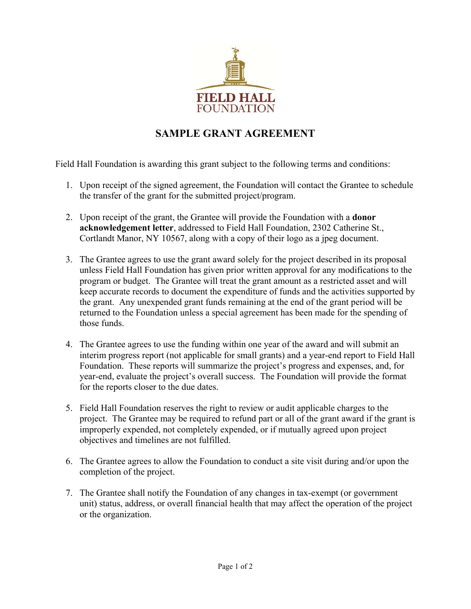

## **SAMPLE GRANT AGREEMENT**

Field Hall Foundation is awarding this grant subject to the following terms and conditions:

- 1. Upon receipt of the signed agreement, the Foundation will contact the Grantee to schedule the transfer of the grant for the submitted project/program.
- 2. Upon receipt of the grant, the Grantee will provide the Foundation with a **donor acknowledgement letter**, addressed to Field Hall Foundation, 2302 Catherine St., Cortlandt Manor, NY 10567, along with a copy of their logo as a jpeg document.
- 3. The Grantee agrees to use the grant award solely for the project described in its proposal unless Field Hall Foundation has given prior written approval for any modifications to the program or budget. The Grantee will treat the grant amount as a restricted asset and will keep accurate records to document the expenditure of funds and the activities supported by the grant. Any unexpended grant funds remaining at the end of the grant period will be returned to the Foundation unless a special agreement has been made for the spending of those funds.
- 4. The Grantee agrees to use the funding within one year of the award and will submit an interim progress report (not applicable for small grants) and a year-end report to Field Hall Foundation. These reports will summarize the project's progress and expenses, and, for year-end, evaluate the project's overall success. The Foundation will provide the format for the reports closer to the due dates.
- 5. Field Hall Foundation reserves the right to review or audit applicable charges to the project. The Grantee may be required to refund part or all of the grant award if the grant is improperly expended, not completely expended, or if mutually agreed upon project objectives and timelines are not fulfilled.
- 6. The Grantee agrees to allow the Foundation to conduct a site visit during and/or upon the completion of the project.
- 7. The Grantee shall notify the Foundation of any changes in tax-exempt (or government unit) status, address, or overall financial health that may affect the operation of the project or the organization.